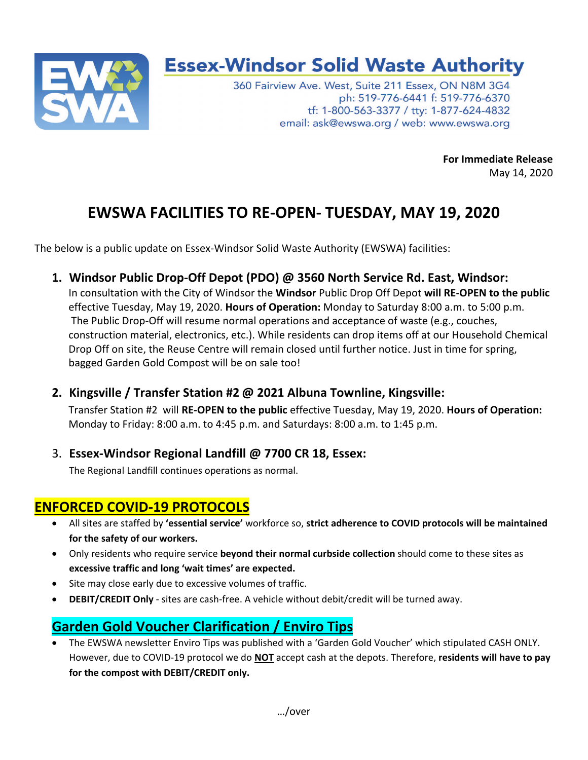

## **Essex-Windsor Solid Waste Authority**

360 Fairview Ave. West, Suite 211 Essex, ON N8M 3G4 ph: 519-776-6441 f: 519-776-6370 tf: 1-800-563-3377 / tty: 1-877-624-4832 email: ask@ewswa.org / web: www.ewswa.org

**For Immediate Release** 

May 14, 2020

## **EWSWA FACILITIES TO RE-OPEN- TUESDAY, MAY 19, 2020**

The below is a public update on Essex-Windsor Solid Waste Authority (EWSWA) facilities:

**1. Windsor Public Drop-Off Depot (PDO) @ 3560 North Service Rd. East, Windsor:** 

In consultation with the City of Windsor the **Windsor** Public Drop Off Depot **will RE-OPEN to the public** effective Tuesday, May 19, 2020. **Hours of Operation:** Monday to Saturday 8:00 a.m. to 5:00 p.m. The Public Drop-Off will resume normal operations and acceptance of waste (e.g., couches, construction material, electronics, etc.). While residents can drop items off at our Household Chemical Drop Off on site, the Reuse Centre will remain closed until further notice. Just in time for spring, bagged Garden Gold Compost will be on sale too!

**2. Kingsville / Transfer Station #2 @ 2021 Albuna Townline, Kingsville:** 

Transfer Station #2 will **RE-OPEN to the public** effective Tuesday, May 19, 2020. **Hours of Operation:** Monday to Friday: 8:00 a.m. to 4:45 p.m. and Saturdays: 8:00 a.m. to 1:45 p.m.

3. **Essex-Windsor Regional Landfill @ 7700 CR 18, Essex:**

The Regional Landfill continues operations as normal.

## **ENFORCED COVID-19 PROTOCOLS**

- All sites are staffed by **'essential service'** workforce so, **strict adherence to COVID protocols will be maintained for the safety of our workers.**
- Only residents who require service **beyond their normal curbside collection** should come to these sites as **excessive traffic and long 'wait times' are expected.**
- Site may close early due to excessive volumes of traffic.
- **DEBIT/CREDIT Only** sites are cash-free. A vehicle without debit/credit will be turned away.

## **Garden Gold Voucher Clarification / Enviro Tips**

 The EWSWA newsletter Enviro Tips was published with a 'Garden Gold Voucher' which stipulated CASH ONLY. However, due to COVID-19 protocol we do **NOT** accept cash at the depots. Therefore, **residents will have to pay for the compost with DEBIT/CREDIT only.**